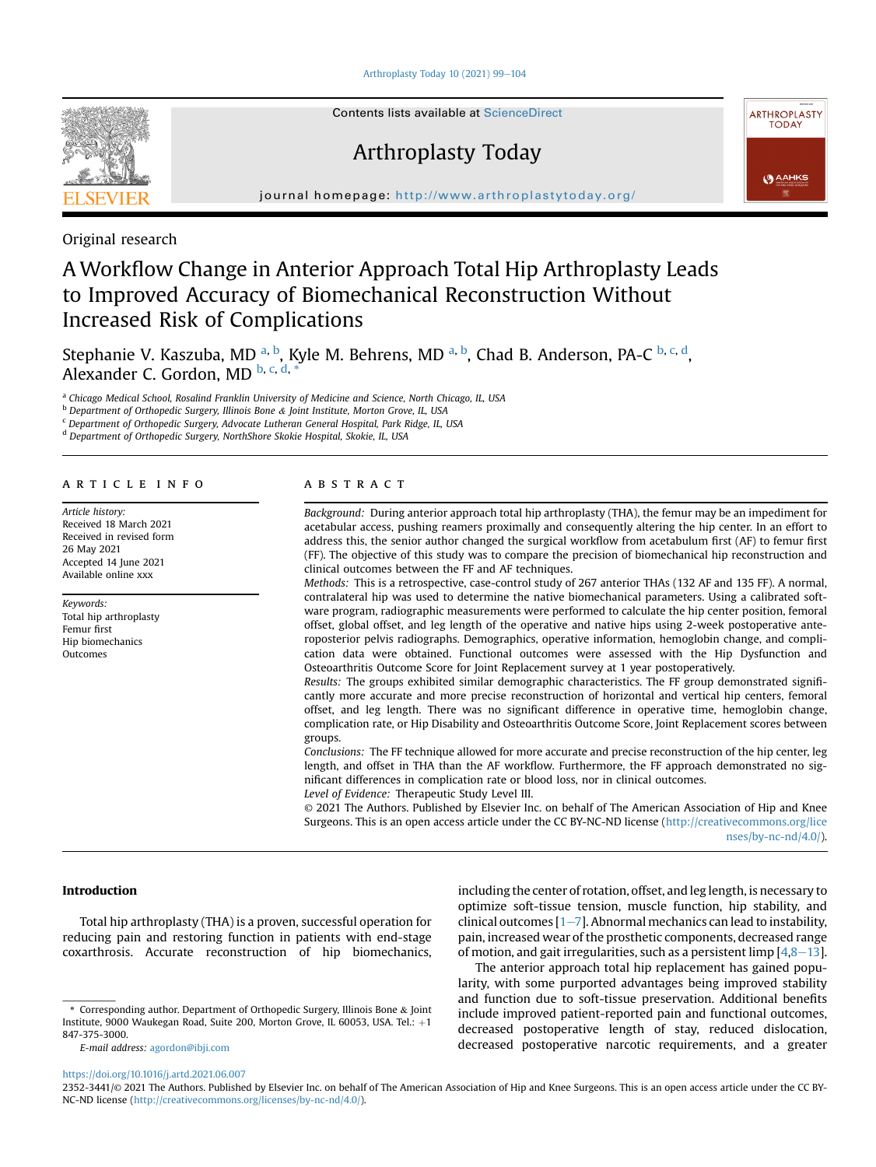Arthroplasty Today  $10$  (2021) 99 $-104$  $-104$ 



Contents lists available at [ScienceDirect](www.sciencedirect.com/science/journal/23523441)

# Arthroplasty Today



journal homepage: <http://www.arthroplastytoday.org/>

Original research

# A Workflow Change in Anterior Approach Total Hip Arthroplasty Leads to Improved Accuracy of Biomechanical Reconstruction Without Increased Risk of Complications

Stephanie V. Kaszub[a,](#page-0-0) MD <sup>a, [b](#page-0-1)</sup>, Kyle M. Behrens, MD <sup>[a](#page-0-0), b</sup>, Chad B. Anderson, PA-C <sup>[b,](#page-0-1) [c](#page-0-2), [d](#page-0-3)</sup>, Alexander C. Gordon, MD [b](#page-0-1), [c,](#page-0-2) [d,](#page-0-3)

<span id="page-0-0"></span>a Chicago Medical School, Rosalind Franklin University of Medicine and Science, North Chicago, IL, USA

<span id="page-0-1"></span><sup>b</sup> Department of Orthopedic Surgery, Illinois Bone & Joint Institute, Morton Grove, IL, USA

<span id="page-0-2"></span><sup>c</sup> Department of Orthopedic Surgery, Advocate Lutheran General Hospital, Park Ridge, IL, USA

<span id="page-0-3"></span><sup>d</sup> Department of Orthopedic Surgery, NorthShore Skokie Hospital, Skokie, IL, USA

## article info

Article history: Received 18 March 2021 Received in revised form 26 May 2021 Accepted 14 June 2021 Available online xxx

Keywords: Total hip arthroplasty Femur first Hip biomechanics Outcomes

## **ABSTRACT**

Background: During anterior approach total hip arthroplasty (THA), the femur may be an impediment for acetabular access, pushing reamers proximally and consequently altering the hip center. In an effort to address this, the senior author changed the surgical workflow from acetabulum first (AF) to femur first (FF). The objective of this study was to compare the precision of biomechanical hip reconstruction and clinical outcomes between the FF and AF techniques.

Methods: This is a retrospective, case-control study of 267 anterior THAs (132 AF and 135 FF). A normal, contralateral hip was used to determine the native biomechanical parameters. Using a calibrated software program, radiographic measurements were performed to calculate the hip center position, femoral offset, global offset, and leg length of the operative and native hips using 2-week postoperative anteroposterior pelvis radiographs. Demographics, operative information, hemoglobin change, and complication data were obtained. Functional outcomes were assessed with the Hip Dysfunction and Osteoarthritis Outcome Score for Joint Replacement survey at 1 year postoperatively.

Results: The groups exhibited similar demographic characteristics. The FF group demonstrated significantly more accurate and more precise reconstruction of horizontal and vertical hip centers, femoral offset, and leg length. There was no significant difference in operative time, hemoglobin change, complication rate, or Hip Disability and Osteoarthritis Outcome Score, Joint Replacement scores between groups.

Conclusions: The FF technique allowed for more accurate and precise reconstruction of the hip center, leg length, and offset in THA than the AF workflow. Furthermore, the FF approach demonstrated no significant differences in complication rate or blood loss, nor in clinical outcomes. Level of Evidence: Therapeutic Study Level III.

© 2021 The Authors. Published by Elsevier Inc. on behalf of The American Association of Hip and Knee Surgeons. This is an open access article under the CC BY-NC-ND license ([http://creativecommons.org/lice](http://creativecommons.org/licenses/by-nc-nd/4.0/) [nses/by-nc-nd/4.0/](http://creativecommons.org/licenses/by-nc-nd/4.0/)).

# Introduction

Total hip arthroplasty (THA) is a proven, successful operation for reducing pain and restoring function in patients with end-stage coxarthrosis. Accurate reconstruction of hip biomechanics,

E-mail address: [agordon@ibji.com](mailto:agordon@ibji.com)

including the center of rotation, offset, and leg length, is necessary to optimize soft-tissue tension, muscle function, hip stability, and clinical outcomes  $[1-7]$  $[1-7]$  $[1-7]$  $[1-7]$ . Abnormal mechanics can lead to instability, pain, increased wear of the prosthetic components, decreased range of motion, and gait irregularities, such as a persistent limp  $[4,8-13]$  $[4,8-13]$  $[4,8-13]$  $[4,8-13]$ .

The anterior approach total hip replacement has gained popularity, with some purported advantages being improved stability and function due to soft-tissue preservation. Additional benefits include improved patient-reported pain and functional outcomes, decreased postoperative length of stay, reduced dislocation, decreased postoperative narcotic requirements, and a greater

<sup>\*</sup> Corresponding author. Department of Orthopedic Surgery, Illinois Bone & Joint Institute, 9000 Waukegan Road, Suite 200, Morton Grove, IL 60053, USA. Tel.: +1 847-375-3000.

<https://doi.org/10.1016/j.artd.2021.06.007>

<sup>2352-3441/</sup>© 2021 The Authors. Published by Elsevier Inc. on behalf of The American Association of Hip and Knee Surgeons. This is an open access article under the CC BY-NC-ND license [\(http://creativecommons.org/licenses/by-nc-nd/4.0/](http://creativecommons.org/licenses/by-nc-nd/4.0/)).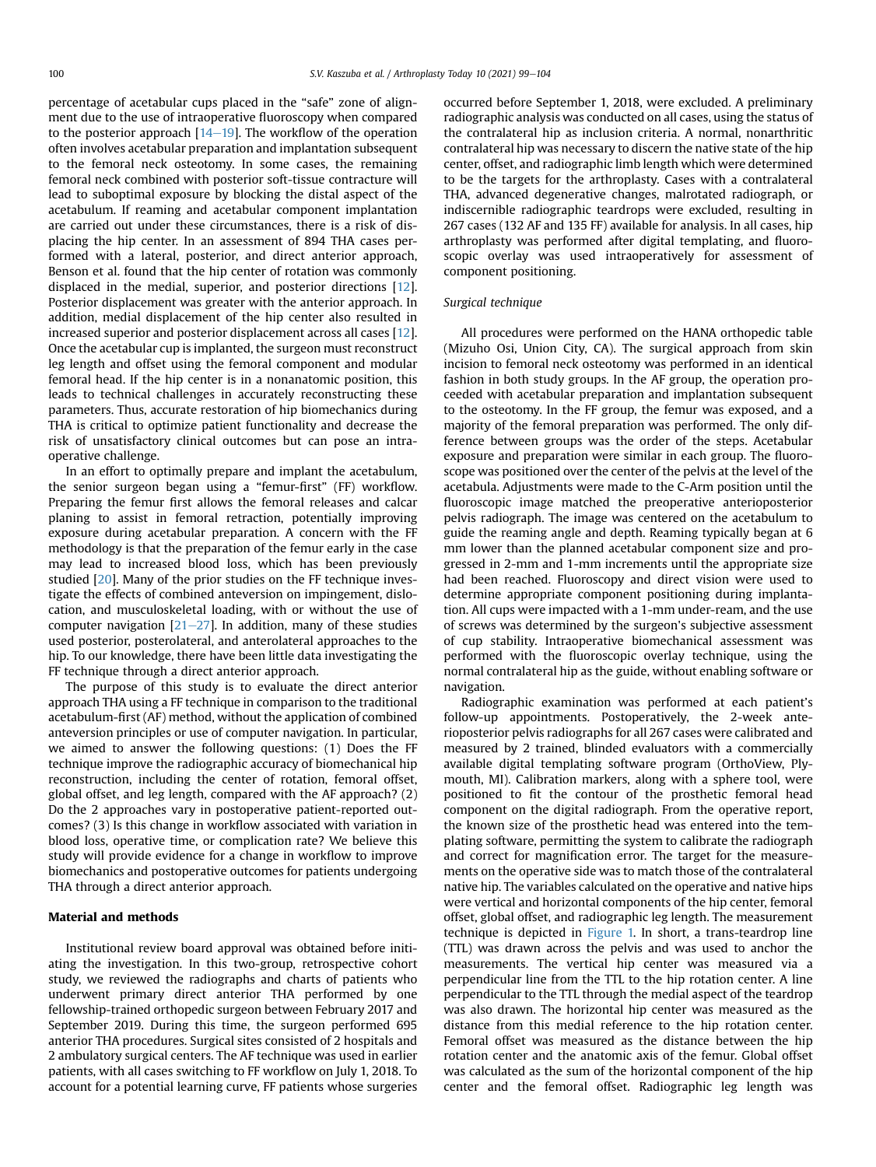percentage of acetabular cups placed in the "safe" zone of alignment due to the use of intraoperative fluoroscopy when compared to the posterior approach  $[14-19]$  $[14-19]$  $[14-19]$  $[14-19]$  $[14-19]$ . The workflow of the operation often involves acetabular preparation and implantation subsequent to the femoral neck osteotomy. In some cases, the remaining femoral neck combined with posterior soft-tissue contracture will lead to suboptimal exposure by blocking the distal aspect of the acetabulum. If reaming and acetabular component implantation are carried out under these circumstances, there is a risk of displacing the hip center. In an assessment of 894 THA cases performed with a lateral, posterior, and direct anterior approach, Benson et al. found that the hip center of rotation was commonly displaced in the medial, superior, and posterior directions [[12](#page-5-4)]. Posterior displacement was greater with the anterior approach. In addition, medial displacement of the hip center also resulted in increased superior and posterior displacement across all cases [[12](#page-5-4)]. Once the acetabular cup is implanted, the surgeon must reconstruct leg length and offset using the femoral component and modular femoral head. If the hip center is in a nonanatomic position, this leads to technical challenges in accurately reconstructing these parameters. Thus, accurate restoration of hip biomechanics during THA is critical to optimize patient functionality and decrease the risk of unsatisfactory clinical outcomes but can pose an intraoperative challenge.

In an effort to optimally prepare and implant the acetabulum, the senior surgeon began using a "femur-first" (FF) workflow. Preparing the femur first allows the femoral releases and calcar planing to assist in femoral retraction, potentially improving exposure during acetabular preparation. A concern with the FF methodology is that the preparation of the femur early in the case may lead to increased blood loss, which has been previously studied [\[20\]](#page-5-5). Many of the prior studies on the FF technique investigate the effects of combined anteversion on impingement, dislocation, and musculoskeletal loading, with or without the use of computer navigation  $[21–27]$  $[21–27]$  $[21–27]$  $[21–27]$ . In addition, many of these studies used posterior, posterolateral, and anterolateral approaches to the hip. To our knowledge, there have been little data investigating the FF technique through a direct anterior approach.

The purpose of this study is to evaluate the direct anterior approach THA using a FF technique in comparison to the traditional acetabulum-first (AF) method, without the application of combined anteversion principles or use of computer navigation. In particular, we aimed to answer the following questions: (1) Does the FF technique improve the radiographic accuracy of biomechanical hip reconstruction, including the center of rotation, femoral offset, global offset, and leg length, compared with the AF approach? (2) Do the 2 approaches vary in postoperative patient-reported outcomes? (3) Is this change in workflow associated with variation in blood loss, operative time, or complication rate? We believe this study will provide evidence for a change in workflow to improve biomechanics and postoperative outcomes for patients undergoing THA through a direct anterior approach.

# Material and methods

Institutional review board approval was obtained before initiating the investigation. In this two-group, retrospective cohort study, we reviewed the radiographs and charts of patients who underwent primary direct anterior THA performed by one fellowship-trained orthopedic surgeon between February 2017 and September 2019. During this time, the surgeon performed 695 anterior THA procedures. Surgical sites consisted of 2 hospitals and 2 ambulatory surgical centers. The AF technique was used in earlier patients, with all cases switching to FF workflow on July 1, 2018. To account for a potential learning curve, FF patients whose surgeries occurred before September 1, 2018, were excluded. A preliminary radiographic analysis was conducted on all cases, using the status of the contralateral hip as inclusion criteria. A normal, nonarthritic contralateral hip was necessary to discern the native state of the hip center, offset, and radiographic limb length which were determined to be the targets for the arthroplasty. Cases with a contralateral THA, advanced degenerative changes, malrotated radiograph, or indiscernible radiographic teardrops were excluded, resulting in 267 cases (132 AF and 135 FF) available for analysis. In all cases, hip arthroplasty was performed after digital templating, and fluoroscopic overlay was used intraoperatively for assessment of component positioning.

#### Surgical technique

All procedures were performed on the HANA orthopedic table (Mizuho Osi, Union City, CA). The surgical approach from skin incision to femoral neck osteotomy was performed in an identical fashion in both study groups. In the AF group, the operation proceeded with acetabular preparation and implantation subsequent to the osteotomy. In the FF group, the femur was exposed, and a majority of the femoral preparation was performed. The only difference between groups was the order of the steps. Acetabular exposure and preparation were similar in each group. The fluoroscope was positioned over the center of the pelvis at the level of the acetabula. Adjustments were made to the C-Arm position until the fluoroscopic image matched the preoperative anterioposterior pelvis radiograph. The image was centered on the acetabulum to guide the reaming angle and depth. Reaming typically began at 6 mm lower than the planned acetabular component size and progressed in 2-mm and 1-mm increments until the appropriate size had been reached. Fluoroscopy and direct vision were used to determine appropriate component positioning during implantation. All cups were impacted with a 1-mm under-ream, and the use of screws was determined by the surgeon's subjective assessment of cup stability. Intraoperative biomechanical assessment was performed with the fluoroscopic overlay technique, using the normal contralateral hip as the guide, without enabling software or navigation.

Radiographic examination was performed at each patient's follow-up appointments. Postoperatively, the 2-week anterioposterior pelvis radiographs for all 267 cases were calibrated and measured by 2 trained, blinded evaluators with a commercially available digital templating software program (OrthoView, Plymouth, MI). Calibration markers, along with a sphere tool, were positioned to fit the contour of the prosthetic femoral head component on the digital radiograph. From the operative report, the known size of the prosthetic head was entered into the templating software, permitting the system to calibrate the radiograph and correct for magnification error. The target for the measurements on the operative side was to match those of the contralateral native hip. The variables calculated on the operative and native hips were vertical and horizontal components of the hip center, femoral offset, global offset, and radiographic leg length. The measurement technique is depicted in [Figure 1.](#page-2-0) In short, a trans-teardrop line (TTL) was drawn across the pelvis and was used to anchor the measurements. The vertical hip center was measured via a perpendicular line from the TTL to the hip rotation center. A line perpendicular to the TTL through the medial aspect of the teardrop was also drawn. The horizontal hip center was measured as the distance from this medial reference to the hip rotation center. Femoral offset was measured as the distance between the hip rotation center and the anatomic axis of the femur. Global offset was calculated as the sum of the horizontal component of the hip center and the femoral offset. Radiographic leg length was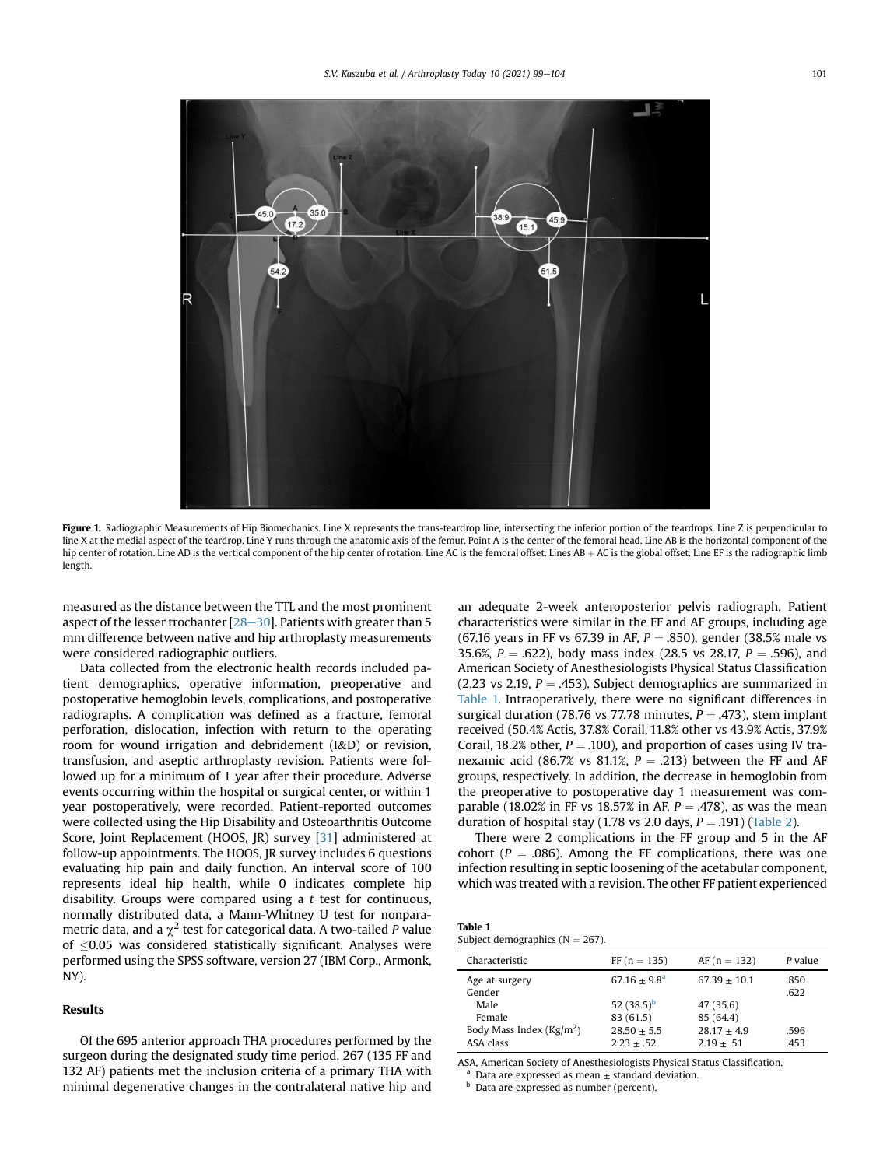<span id="page-2-0"></span>

Figure 1. Radiographic Measurements of Hip Biomechanics. Line X represents the trans-teardrop line, intersecting the inferior portion of the teardrops. Line Z is perpendicular to line X at the medial aspect of the teardrop. Line Y runs through the anatomic axis of the femur. Point A is the center of the femoral head. Line AB is the horizontal component of the hip center of rotation. Line AD is the vertical component of the hip center of rotation. Line AC is the femoral offset. Lines AB + AC is the global offset. Line EF is the radiographic limb length.

measured as the distance between the TTL and the most prominent aspect of the lesser trochanter  $[28-30]$  $[28-30]$  $[28-30]$  $[28-30]$ . Patients with greater than 5 mm difference between native and hip arthroplasty measurements were considered radiographic outliers.

Data collected from the electronic health records included patient demographics, operative information, preoperative and postoperative hemoglobin levels, complications, and postoperative radiographs. A complication was defined as a fracture, femoral perforation, dislocation, infection with return to the operating room for wound irrigation and debridement (I&D) or revision, transfusion, and aseptic arthroplasty revision. Patients were followed up for a minimum of 1 year after their procedure. Adverse events occurring within the hospital or surgical center, or within 1 year postoperatively, were recorded. Patient-reported outcomes were collected using the Hip Disability and Osteoarthritis Outcome Score, Joint Replacement (HOOS, JR) survey [\[31\]](#page-5-8) administered at follow-up appointments. The HOOS, JR survey includes 6 questions evaluating hip pain and daily function. An interval score of 100 represents ideal hip health, while 0 indicates complete hip disability. Groups were compared using a  $t$  test for continuous, normally distributed data, a Mann-Whitney U test for nonparametric data, and a  $\chi^2$  test for categorical data. A two-tailed P value of  $\leq$ 0.05 was considered statistically significant. Analyses were performed using the SPSS software, version 27 (IBM Corp., Armonk, NY).

# Results

Of the 695 anterior approach THA procedures performed by the surgeon during the designated study time period, 267 (135 FF and 132 AF) patients met the inclusion criteria of a primary THA with minimal degenerative changes in the contralateral native hip and an adequate 2-week anteroposterior pelvis radiograph. Patient characteristics were similar in the FF and AF groups, including age (67.16 years in FF vs 67.39 in AF,  $P = .850$ ), gender (38.5% male vs 35.6%,  $P = .622$ ), body mass index (28.5 vs 28.17,  $P = .596$ ), and American Society of Anesthesiologists Physical Status Classification (2.23 vs 2.19,  $P = .453$ ). Subject demographics are summarized in [Table 1.](#page-2-1) Intraoperatively, there were no significant differences in surgical duration (78.76 vs 77.78 minutes,  $P = .473$ ), stem implant received (50.4% Actis, 37.8% Corail, 11.8% other vs 43.9% Actis, 37.9% Corail, 18.2% other,  $P = .100$ ), and proportion of cases using IV tranexamic acid (86.7% vs 81.1%,  $P = .213$ ) between the FF and AF groups, respectively. In addition, the decrease in hemoglobin from the preoperative to postoperative day 1 measurement was comparable (18.02% in FF vs 18.57% in AF,  $P = .478$ ), as was the mean duration of hospital stay (1.78 vs 2.0 days,  $P = .191$ ) ([Table 2\)](#page-3-0).

There were 2 complications in the FF group and 5 in the AF cohort ( $P = .086$ ). Among the FF complications, there was one infection resulting in septic loosening of the acetabular component, which was treated with a revision. The other FF patient experienced

<span id="page-2-1"></span>

| <b>Table 1</b>                      |  |
|-------------------------------------|--|
| Subject demographics ( $N = 267$ ). |  |

| Characteristic                      | $FF (n = 135)$ | $AF (n = 132)$ | P value      |
|-------------------------------------|----------------|----------------|--------------|
| Age at surgery<br>Gender            | $67.16 + 9.8a$ | $67.39 + 10.1$ | .850<br>.622 |
| Male                                | 52 $(38.5)^b$  | 47 (35.6)      |              |
| Female                              | 83 (61.5)      | 85 (64.4)      |              |
| Body Mass Index ( $\text{Kg/m}^2$ ) | $28.50 + 5.5$  | $28.17 + 4.9$  | .596         |
| ASA class                           | $2.23 + .52$   | $2.19 + .51$   | .453         |

<span id="page-2-2"></span>ASA, American Society of Anesthesiologists Physical Status Classification.

Data are expressed as mean  $\pm$  standard deviation.

<span id="page-2-3"></span>**b** Data are expressed as number (percent).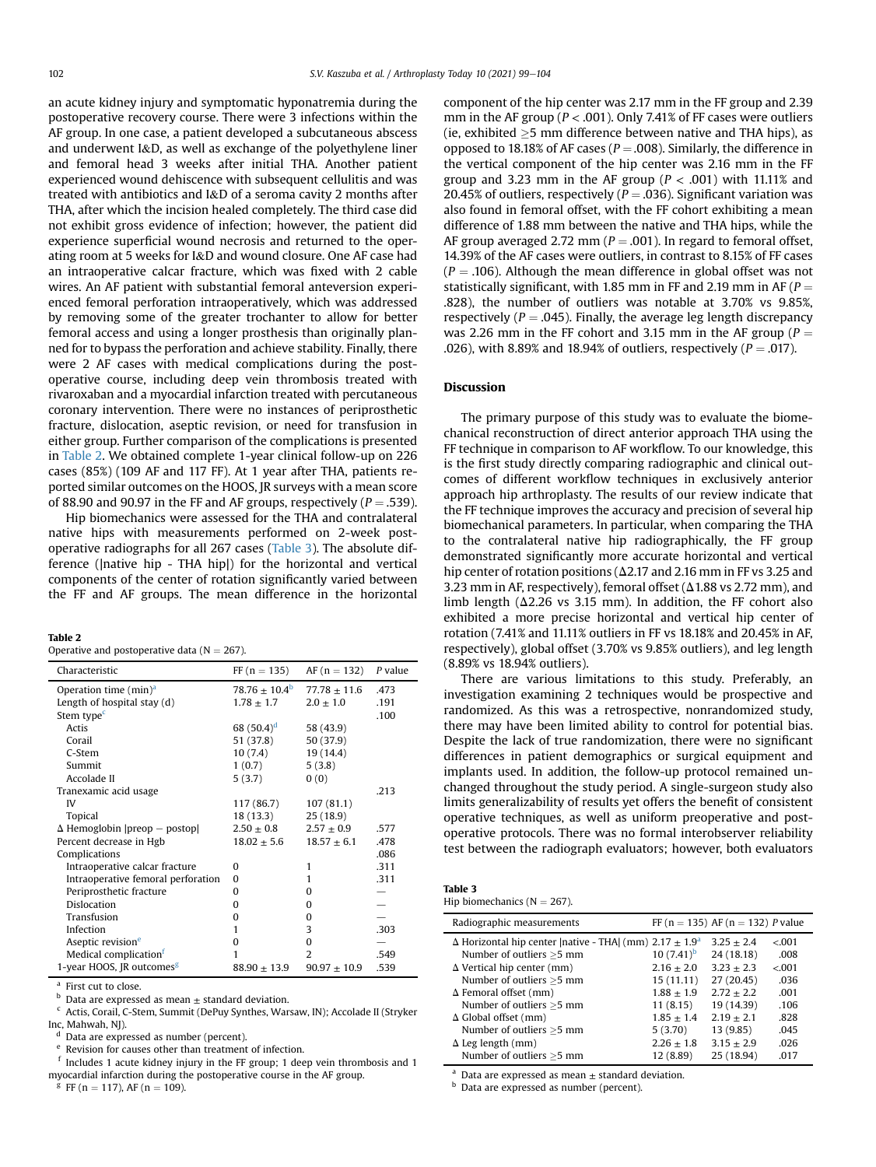an acute kidney injury and symptomatic hyponatremia during the postoperative recovery course. There were 3 infections within the AF group. In one case, a patient developed a subcutaneous abscess and underwent I&D, as well as exchange of the polyethylene liner and femoral head 3 weeks after initial THA. Another patient experienced wound dehiscence with subsequent cellulitis and was treated with antibiotics and I&D of a seroma cavity 2 months after THA, after which the incision healed completely. The third case did not exhibit gross evidence of infection; however, the patient did experience superficial wound necrosis and returned to the operating room at 5 weeks for I&D and wound closure. One AF case had an intraoperative calcar fracture, which was fixed with 2 cable wires. An AF patient with substantial femoral anteversion experienced femoral perforation intraoperatively, which was addressed by removing some of the greater trochanter to allow for better femoral access and using a longer prosthesis than originally planned for to bypass the perforation and achieve stability. Finally, there were 2 AF cases with medical complications during the postoperative course, including deep vein thrombosis treated with rivaroxaban and a myocardial infarction treated with percutaneous coronary intervention. There were no instances of periprosthetic fracture, dislocation, aseptic revision, or need for transfusion in either group. Further comparison of the complications is presented in [Table 2.](#page-3-0) We obtained complete 1-year clinical follow-up on 226 cases (85%) (109 AF and 117 FF). At 1 year after THA, patients reported similar outcomes on the HOOS, JR surveys with a mean score of 88.90 and 90.97 in the FF and AF groups, respectively ( $P = .539$ ).

Hip biomechanics were assessed for the THA and contralateral native hips with measurements performed on 2-week postoperative radiographs for all 267 cases [\(Table 3](#page-3-1)). The absolute difference (|native hip - THA hip|) for the horizontal and vertical components of the center of rotation significantly varied between the FF and AF groups. The mean difference in the horizontal

<span id="page-3-0"></span>

| Table 2                                         |
|-------------------------------------------------|
| Operative and postoperative data ( $N = 267$ ). |

| Characteristic                        | $FF(n = 135)$            | $AF (n = 132)$   | $P$ value |
|---------------------------------------|--------------------------|------------------|-----------|
| Operation time $(min)^a$              | $78.76 \pm 10.4^{\circ}$ | $77.78 \pm 11.6$ | .473      |
| Length of hospital stay (d)           | $1.78 \pm 1.7$           | $2.0 \pm 1.0$    | .191      |
| Stem type <sup>c</sup>                |                          |                  | .100      |
| Actis                                 | 68 $(50.4)^d$            | 58 (43.9)        |           |
| Corail                                | 51 (37.8)                | 50 (37.9)        |           |
| C-Stem                                | 10(7.4)                  | 19 (14.4)        |           |
| Summit                                | 1(0.7)                   | 5(3.8)           |           |
| Accolade II                           | 5(3.7)                   | 0(0)             |           |
| Tranexamic acid usage                 |                          |                  | .213      |
| IV                                    | 117 (86.7)               | 107(81.1)        |           |
| <b>Topical</b>                        | 18 (13.3)                | 25(18.9)         |           |
| $\Delta$ Hemoglobin  preop – postop   | $2.50 \pm 0.8$           | $2.57 \pm 0.9$   | .577      |
| Percent decrease in Hgb               | $18.02 \pm 5.6$          | $18.57 \pm 6.1$  | .478      |
| Complications                         |                          |                  | .086      |
| Intraoperative calcar fracture        | $\Omega$                 | 1                | .311      |
| Intraoperative femoral perforation    | $\Omega$                 | 1                | .311      |
| Periprosthetic fracture               | $\Omega$                 | o                |           |
| Dislocation                           | $\Omega$                 | 0                |           |
| Transfusion                           | $\Omega$                 | 0                |           |
| Infection                             | 1                        | 3                | .303      |
| Aseptic revision <sup>e</sup>         | 0                        | $\Omega$         |           |
| Medical complication <sup>1</sup>     | 1                        | 2                | .549      |
| 1-year HOOS, JR outcomes <sup>g</sup> | $88.90 \pm 13.9$         | $90.97 \pm 10.9$ | .539      |

<span id="page-3-2"></span><sup>a</sup> First cut to close.

<span id="page-3-3"></span> $<sup>b</sup>$  Data are expressed as mean  $\pm$  standard deviation.</sup>

<span id="page-3-4"></span><sup>c</sup> Actis, Corail, C-Stem, Summit (DePuy Synthes, Warsaw, IN); Accolade II (Stryker Inc, Mahwah, NJ).

<span id="page-3-5"></span><sup>d</sup> Data are expressed as number (percent).

<span id="page-3-6"></span>Revision for causes other than treatment of infection.

<span id="page-3-7"></span><sup>f</sup> Includes 1 acute kidney injury in the FF group; 1 deep vein thrombosis and 1 myocardial infarction during the postoperative course in the AF group.

<span id="page-3-8"></span> ${}^{g}$  FF (n = 117), AF (n = 109).

component of the hip center was 2.17 mm in the FF group and 2.39 mm in the AF group ( $P < .001$ ). Only 7.41% of FF cases were outliers (ie, exhibited  $\geq$ 5 mm difference between native and THA hips), as opposed to 18.18% of AF cases ( $P = .008$ ). Similarly, the difference in the vertical component of the hip center was 2.16 mm in the FF group and 3.23 mm in the AF group ( $P < .001$ ) with 11.11% and 20.45% of outliers, respectively ( $P = .036$ ). Significant variation was also found in femoral offset, with the FF cohort exhibiting a mean difference of 1.88 mm between the native and THA hips, while the AF group averaged 2.72 mm ( $P = .001$ ). In regard to femoral offset, 14.39% of the AF cases were outliers, in contrast to 8.15% of FF cases  $(P = .106)$ . Although the mean difference in global offset was not statistically significant, with 1.85 mm in FF and 2.19 mm in AF ( $P =$ .828), the number of outliers was notable at 3.70% vs 9.85%, respectively ( $P = .045$ ). Finally, the average leg length discrepancy was 2.26 mm in the FF cohort and 3.15 mm in the AF group ( $P =$ .026), with 8.89% and 18.94% of outliers, respectively ( $P = .017$ ).

# Discussion

The primary purpose of this study was to evaluate the biomechanical reconstruction of direct anterior approach THA using the FF technique in comparison to AF workflow. To our knowledge, this is the first study directly comparing radiographic and clinical outcomes of different workflow techniques in exclusively anterior approach hip arthroplasty. The results of our review indicate that the FF technique improves the accuracy and precision of several hip biomechanical parameters. In particular, when comparing the THA to the contralateral native hip radiographically, the FF group demonstrated significantly more accurate horizontal and vertical hip center of rotation positions ( $\Delta$ 2.17 and 2.16 mm in FF vs 3.25 and 3.23 mm in AF, respectively), femoral offset  $(\Delta 1.88 \text{ vs } 2.72 \text{ mm})$ , and limb length ( $\Delta$ 2.26 vs 3.15 mm). In addition, the FF cohort also exhibited a more precise horizontal and vertical hip center of rotation (7.41% and 11.11% outliers in FF vs 18.18% and 20.45% in AF, respectively), global offset (3.70% vs 9.85% outliers), and leg length (8.89% vs 18.94% outliers).

There are various limitations to this study. Preferably, an investigation examining 2 techniques would be prospective and randomized. As this was a retrospective, nonrandomized study, there may have been limited ability to control for potential bias. Despite the lack of true randomization, there were no significant differences in patient demographics or surgical equipment and implants used. In addition, the follow-up protocol remained unchanged throughout the study period. A single-surgeon study also limits generalizability of results yet offers the benefit of consistent operative techniques, as well as uniform preoperative and postoperative protocols. There was no formal interobserver reliability test between the radiograph evaluators; however, both evaluators

<span id="page-3-1"></span>

| Table 3                         |
|---------------------------------|
| Hip biomechanics ( $N = 267$ ). |

| Radiographic measurements                                                       |                | FF ( $n = 135$ ) AF ( $n = 132$ ) P value |        |
|---------------------------------------------------------------------------------|----------------|-------------------------------------------|--------|
| $\Delta$ Horizontal hip center   native - THA  (mm) 2.17 $\pm$ 1.9 <sup>a</sup> |                | $3.25 + 2.4$                              | < 0.01 |
| Number of outliers >5 mm                                                        | 10 $(7.41)^b$  | 24 (18.18)                                | .008   |
| $\Delta$ Vertical hip center (mm)                                               | $2.16 \pm 2.0$ | $3.23 \pm 2.3$                            | < 0.01 |
| Number of outliers >5 mm                                                        | 15(11.11)      | 27 (20.45)                                | .036   |
| $\Delta$ Femoral offset (mm)                                                    | $1.88 + 1.9$   | $2.72 + 2.2$                              | .001   |
| Number of outliers >5 mm                                                        | 11(8.15)       | 19 (14.39)                                | .106   |
| $\Delta$ Global offset (mm)                                                     | $1.85 \pm 1.4$ | $2.19 + 2.1$                              | .828   |
| Number of outliers >5 mm                                                        | 5(3.70)        | 13 (9.85)                                 | .045   |
| $\Delta$ Leg length (mm)                                                        | $2.26 \pm 1.8$ | $3.15 \pm 2.9$                            | .026   |
| Number of outliers >5 mm                                                        | 12 (8.89)      | 25 (18.94)                                | .017   |

<span id="page-3-9"></span>Data are expressed as mean  $\pm$  standard deviation.

<span id="page-3-10"></span>**b** Data are expressed as number (percent).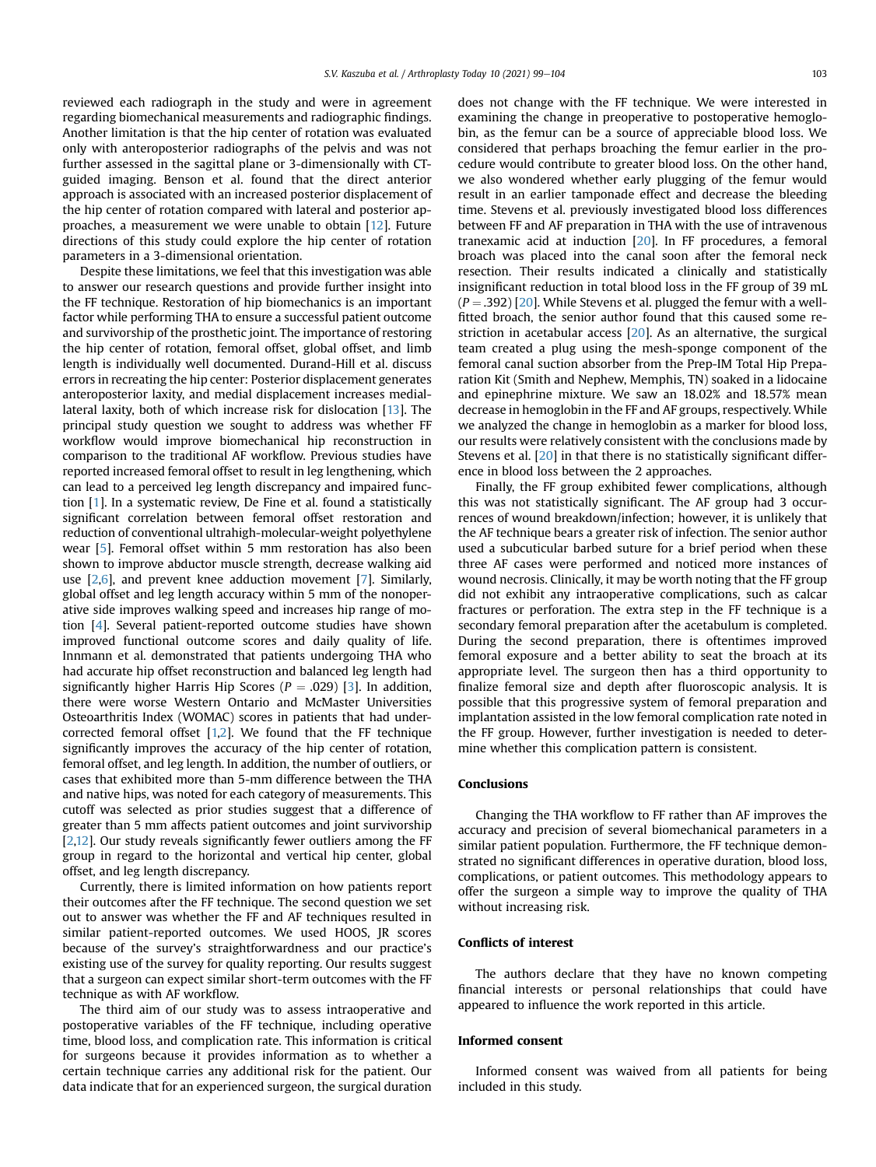reviewed each radiograph in the study and were in agreement regarding biomechanical measurements and radiographic findings. Another limitation is that the hip center of rotation was evaluated only with anteroposterior radiographs of the pelvis and was not further assessed in the sagittal plane or 3-dimensionally with CTguided imaging. Benson et al. found that the direct anterior approach is associated with an increased posterior displacement of the hip center of rotation compared with lateral and posterior approaches, a measurement we were unable to obtain [[12\]](#page-5-4). Future directions of this study could explore the hip center of rotation parameters in a 3-dimensional orientation.

Despite these limitations, we feel that this investigation was able to answer our research questions and provide further insight into the FF technique. Restoration of hip biomechanics is an important factor while performing THA to ensure a successful patient outcome and survivorship of the prosthetic joint. The importance of restoring the hip center of rotation, femoral offset, global offset, and limb length is individually well documented. Durand-Hill et al. discuss errors in recreating the hip center: Posterior displacement generates anteroposterior laxity, and medial displacement increases mediallateral laxity, both of which increase risk for dislocation [\[13\]](#page-5-9). The principal study question we sought to address was whether FF workflow would improve biomechanical hip reconstruction in comparison to the traditional AF workflow. Previous studies have reported increased femoral offset to result in leg lengthening, which can lead to a perceived leg length discrepancy and impaired function [\[1](#page-5-0)]. In a systematic review, De Fine et al. found a statistically significant correlation between femoral offset restoration and reduction of conventional ultrahigh-molecular-weight polyethylene wear [[5\]](#page-5-10). Femoral offset within 5 mm restoration has also been shown to improve abductor muscle strength, decrease walking aid use [\[2](#page-5-11),[6\]](#page-5-12), and prevent knee adduction movement [\[7](#page-5-13)]. Similarly, global offset and leg length accuracy within 5 mm of the nonoperative side improves walking speed and increases hip range of motion [\[4\]](#page-5-1). Several patient-reported outcome studies have shown improved functional outcome scores and daily quality of life. Innmann et al. demonstrated that patients undergoing THA who had accurate hip offset reconstruction and balanced leg length had significantly higher Harris Hip Scores ( $P = .029$ ) [\[3](#page-5-14)]. In addition, there were worse Western Ontario and McMaster Universities Osteoarthritis Index (WOMAC) scores in patients that had undercorrected femoral offset [[1,](#page-5-0)[2](#page-5-11)]. We found that the FF technique significantly improves the accuracy of the hip center of rotation, femoral offset, and leg length. In addition, the number of outliers, or cases that exhibited more than 5-mm difference between the THA and native hips, was noted for each category of measurements. This cutoff was selected as prior studies suggest that a difference of greater than 5 mm affects patient outcomes and joint survivorship [\[2](#page-5-11)[,12](#page-5-4)]. Our study reveals significantly fewer outliers among the FF group in regard to the horizontal and vertical hip center, global offset, and leg length discrepancy.

Currently, there is limited information on how patients report their outcomes after the FF technique. The second question we set out to answer was whether the FF and AF techniques resulted in similar patient-reported outcomes. We used HOOS, JR scores because of the survey's straightforwardness and our practice's existing use of the survey for quality reporting. Our results suggest that a surgeon can expect similar short-term outcomes with the FF technique as with AF workflow.

The third aim of our study was to assess intraoperative and postoperative variables of the FF technique, including operative time, blood loss, and complication rate. This information is critical for surgeons because it provides information as to whether a certain technique carries any additional risk for the patient. Our data indicate that for an experienced surgeon, the surgical duration does not change with the FF technique. We were interested in examining the change in preoperative to postoperative hemoglobin, as the femur can be a source of appreciable blood loss. We considered that perhaps broaching the femur earlier in the procedure would contribute to greater blood loss. On the other hand, we also wondered whether early plugging of the femur would result in an earlier tamponade effect and decrease the bleeding time. Stevens et al. previously investigated blood loss differences between FF and AF preparation in THA with the use of intravenous tranexamic acid at induction [\[20\]](#page-5-5). In FF procedures, a femoral broach was placed into the canal soon after the femoral neck resection. Their results indicated a clinically and statistically insignificant reduction in total blood loss in the FF group of 39 mL  $(P = .392)$  [\[20\]](#page-5-5). While Stevens et al. plugged the femur with a wellfitted broach, the senior author found that this caused some restriction in acetabular access [\[20\]](#page-5-5). As an alternative, the surgical team created a plug using the mesh-sponge component of the femoral canal suction absorber from the Prep-IM Total Hip Preparation Kit (Smith and Nephew, Memphis, TN) soaked in a lidocaine and epinephrine mixture. We saw an 18.02% and 18.57% mean decrease in hemoglobin in the FF and AF groups, respectively. While we analyzed the change in hemoglobin as a marker for blood loss, our results were relatively consistent with the conclusions made by Stevens et al. [[20](#page-5-5)] in that there is no statistically significant difference in blood loss between the 2 approaches.

Finally, the FF group exhibited fewer complications, although this was not statistically significant. The AF group had 3 occurrences of wound breakdown/infection; however, it is unlikely that the AF technique bears a greater risk of infection. The senior author used a subcuticular barbed suture for a brief period when these three AF cases were performed and noticed more instances of wound necrosis. Clinically, it may be worth noting that the FF group did not exhibit any intraoperative complications, such as calcar fractures or perforation. The extra step in the FF technique is a secondary femoral preparation after the acetabulum is completed. During the second preparation, there is oftentimes improved femoral exposure and a better ability to seat the broach at its appropriate level. The surgeon then has a third opportunity to finalize femoral size and depth after fluoroscopic analysis. It is possible that this progressive system of femoral preparation and implantation assisted in the low femoral complication rate noted in the FF group. However, further investigation is needed to determine whether this complication pattern is consistent.

# Conclusions

Changing the THA workflow to FF rather than AF improves the accuracy and precision of several biomechanical parameters in a similar patient population. Furthermore, the FF technique demonstrated no significant differences in operative duration, blood loss, complications, or patient outcomes. This methodology appears to offer the surgeon a simple way to improve the quality of THA without increasing risk.

## Conflicts of interest

The authors declare that they have no known competing financial interests or personal relationships that could have appeared to influence the work reported in this article.

## Informed consent

Informed consent was waived from all patients for being included in this study.